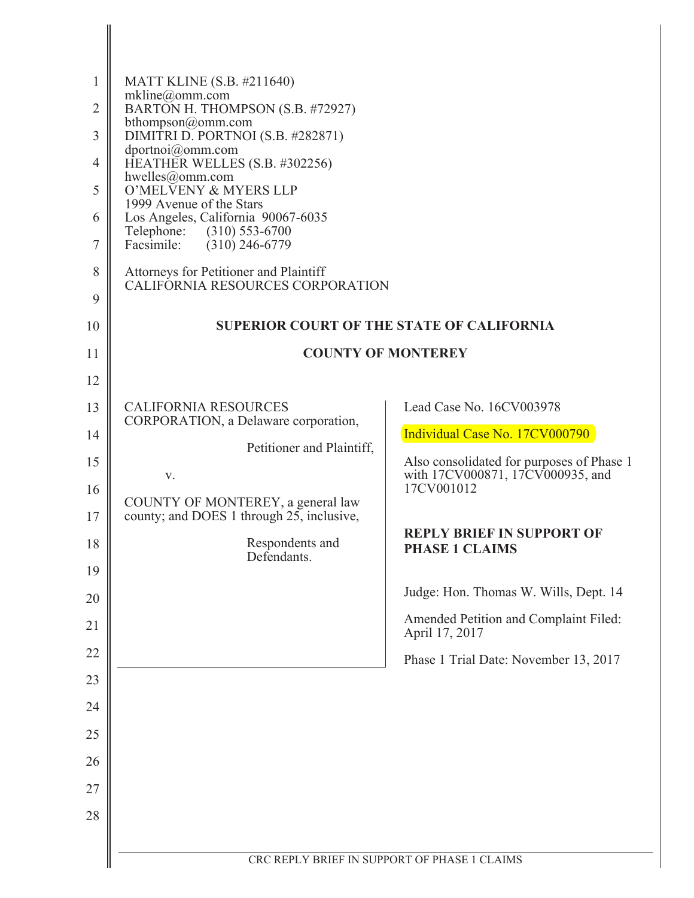| $\mathbf{1}$   | <b>MATT KLINE</b> (S.B. #211640)                                           |                                                                               |
|----------------|----------------------------------------------------------------------------|-------------------------------------------------------------------------------|
| $\overline{2}$ | mkline@omm.com<br>BARTON H. THOMPSON (S.B. #72927)                         |                                                                               |
| 3              | bthompson@omm.com<br>DIMITRI D. PORTNOI (S.B. #282871)                     |                                                                               |
| 4              | dportnoi@omm.com<br>HEATHER WELLES (S.B. #302256)                          |                                                                               |
| 5              | hwelles@omm.com<br>O'MELVENY & MYERS LLP                                   |                                                                               |
| 6              | 1999 Avenue of the Stars<br>Los Angeles, California 90067-6035             |                                                                               |
| $\tau$         | Telephone: (310) 553-6700<br>Facsimile:<br>$(310)$ 246-6779                |                                                                               |
| 8              | Attorneys for Petitioner and Plaintiff<br>CALIFORNIA RESOURCES CORPORATION |                                                                               |
| 9              |                                                                            |                                                                               |
| 10             | <b>SUPERIOR COURT OF THE STATE OF CALIFORNIA</b>                           |                                                                               |
| 11             | <b>COUNTY OF MONTEREY</b>                                                  |                                                                               |
| 12             |                                                                            |                                                                               |
| 13             | <b>CALIFORNIA RESOURCES</b><br>CORPORATION, a Delaware corporation,        | Lead Case No. 16CV003978                                                      |
| 14             | Petitioner and Plaintiff,                                                  | Individual Case No. 17CV000790                                                |
| 15             | V.                                                                         | Also consolidated for purposes of Phase 1<br>with 17CV000871, 17CV000935, and |
| 16             | COUNTY OF MONTEREY, a general law                                          | 17CV001012                                                                    |
| 17             | county; and DOES 1 through 25, inclusive,                                  | <b>REPLY BRIEF IN SUPPORT OF</b>                                              |
| 18             | Respondents and<br>Defendants.                                             | <b>PHASE 1 CLAIMS</b>                                                         |
| 19             |                                                                            | Judge: Hon. Thomas W. Wills, Dept. 14                                         |
| 20             |                                                                            | Amended Petition and Complaint Filed:                                         |
| 21             |                                                                            | April 17, 2017                                                                |
| 22             |                                                                            | Phase 1 Trial Date: November 13, 2017                                         |
| 23             |                                                                            |                                                                               |
| 24             |                                                                            |                                                                               |
| 25             |                                                                            |                                                                               |
| 26             |                                                                            |                                                                               |
| 27             |                                                                            |                                                                               |
| 28             |                                                                            |                                                                               |
|                | CRC REPLY BRIEF IN SUPPORT OF PHASE 1 CLAIMS                               |                                                                               |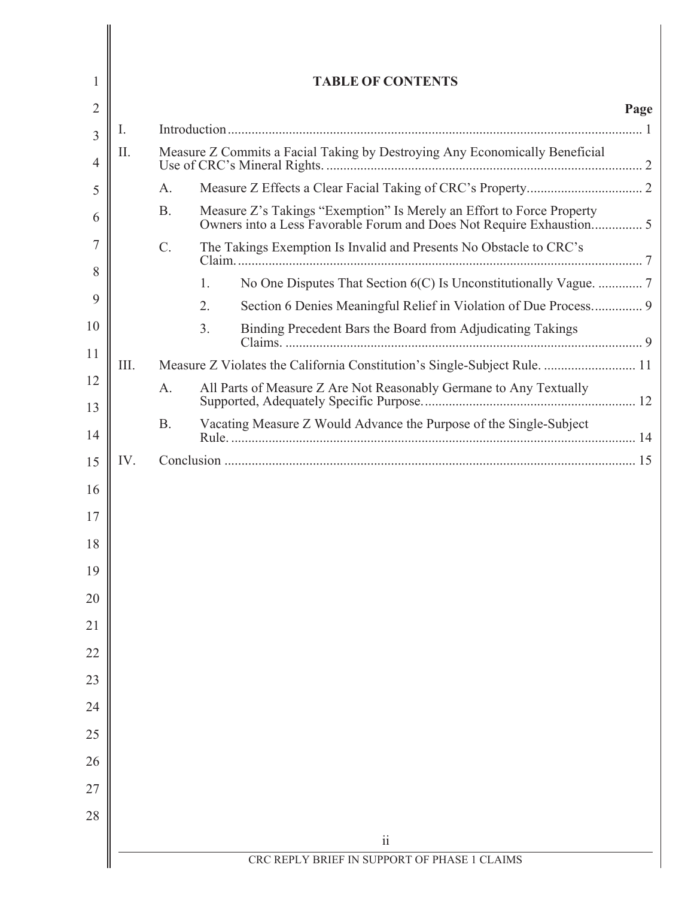|      |           | <b>TABLE OF CONTENTS</b>                                                                                                                      |
|------|-----------|-----------------------------------------------------------------------------------------------------------------------------------------------|
|      |           |                                                                                                                                               |
| I.   |           |                                                                                                                                               |
| II.  |           | Measure Z Commits a Facial Taking by Destroying Any Economically Beneficial                                                                   |
|      | A.        |                                                                                                                                               |
|      | <b>B.</b> | Measure Z's Takings "Exemption" Is Merely an Effort to Force Property<br>Owners into a Less Favorable Forum and Does Not Require Exhaustion 5 |
|      | C.        | The Takings Exemption Is Invalid and Presents No Obstacle to CRC's                                                                            |
|      | 1.        | No One Disputes That Section 6(C) Is Unconstitutionally Vague.  7                                                                             |
|      | 2.        | Section 6 Denies Meaningful Relief in Violation of Due Process 9                                                                              |
|      | 3.        | Binding Precedent Bars the Board from Adjudicating Takings                                                                                    |
| III. |           | Measure Z Violates the California Constitution's Single-Subject Rule.  11                                                                     |
|      | A.        | All Parts of Measure Z Are Not Reasonably Germane to Any Textually                                                                            |
|      | <b>B.</b> | Vacating Measure Z Would Advance the Purpose of the Single-Subject                                                                            |
| IV.  |           |                                                                                                                                               |
|      |           |                                                                                                                                               |
|      |           |                                                                                                                                               |
|      |           |                                                                                                                                               |
|      |           |                                                                                                                                               |
|      |           |                                                                                                                                               |
|      |           |                                                                                                                                               |
|      |           |                                                                                                                                               |
|      |           |                                                                                                                                               |
|      |           |                                                                                                                                               |
|      |           |                                                                                                                                               |
|      |           |                                                                                                                                               |
|      |           |                                                                                                                                               |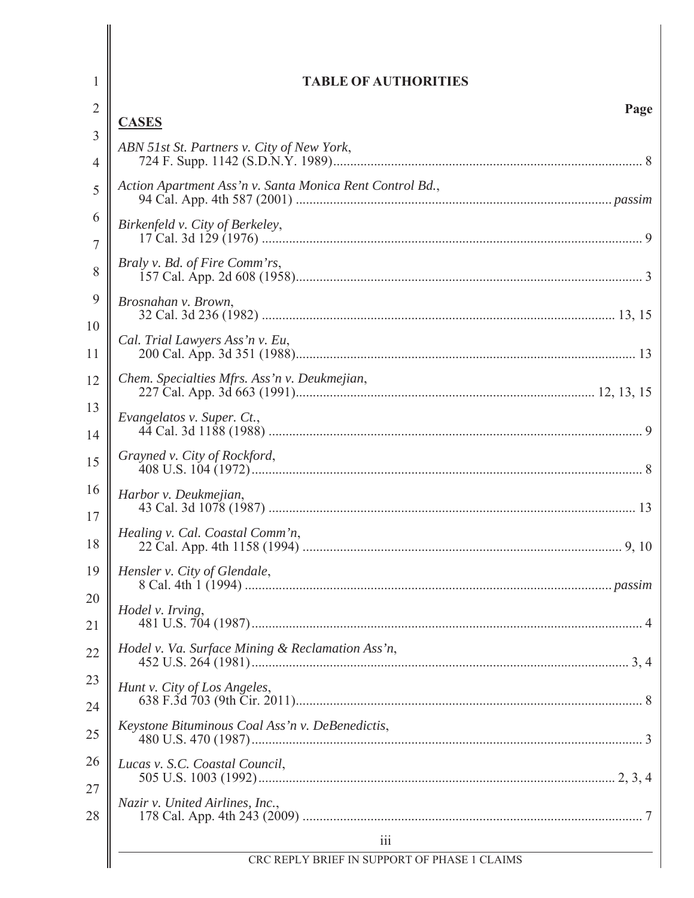| 1              | <b>TABLE OF AUTHORITIES</b>                                |
|----------------|------------------------------------------------------------|
| $\overline{2}$ | Page                                                       |
| 3              | <b>CASES</b><br>ABN 51st St. Partners v. City of New York, |
| 4              |                                                            |
| 5              | Action Apartment Ass'n v. Santa Monica Rent Control Bd.,   |
| 6              | Birkenfeld v. City of Berkeley,                            |
| 7              | Braly v. Bd. of Fire Comm'rs,                              |
| 8              |                                                            |
| 9              | Brosnahan v. Brown,                                        |
| 10<br>11       | Cal. Trial Lawyers Ass'n v. Eu,                            |
| 12             | Chem. Specialties Mfrs. Ass'n v. Deukmejian,               |
| 13             | Evangelatos v. Super. Ct.,                                 |
| 14             | Grayned v. City of Rockford,                               |
| 15             |                                                            |
| 16<br>17       | Harbor v. Deukmejian,                                      |
| 18             | Healing v. Cal. Coastal Comm'n,                            |
| 19             | Hensler v. City of Glendale,                               |
| 20<br>21       | Hodel v. Irving,                                           |
| 22             | Hodel v. Va. Surface Mining & Reclamation Ass'n,           |
| 23             | Hunt v. City of Los Angeles,                               |
| 24             |                                                            |
| 25             | Keystone Bituminous Coal Ass'n v. DeBenedictis,            |
| 26<br>27       | Lucas v. S.C. Coastal Council,                             |
| 28             | Nazir v. United Airlines, Inc.,                            |
|                | $\overline{111}$                                           |
|                | CRC REPLY BRIEF IN SUPPORT OF PHASE 1 CLAIMS               |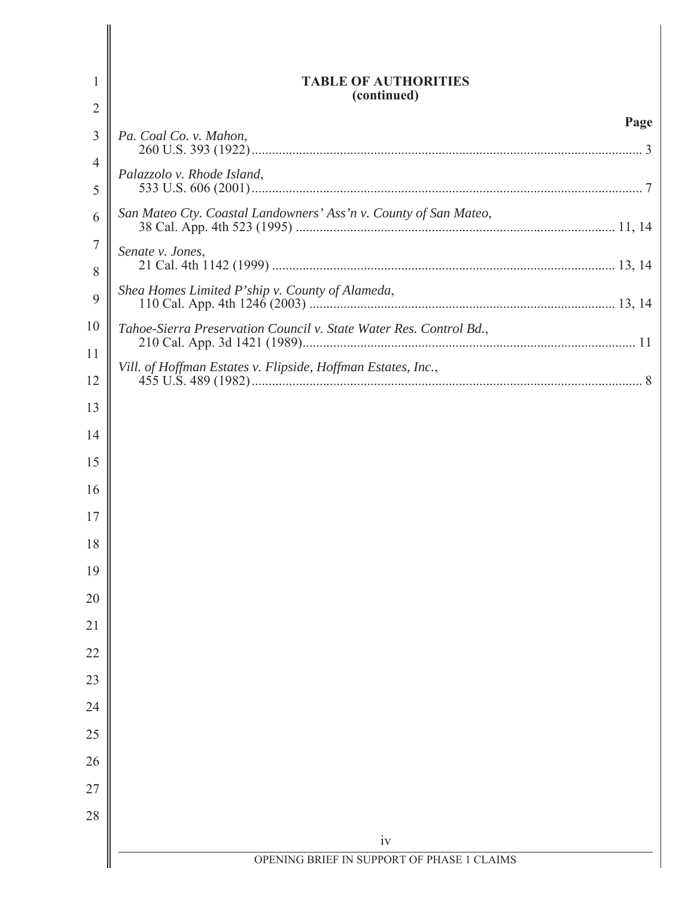| 1        | <b>TABLE OF AUTHORITIES</b><br>(continued)                         |
|----------|--------------------------------------------------------------------|
| 2        |                                                                    |
| 3        | Page<br>Pa. Coal Co. v. Mahon,                                     |
| 4        | Palazzolo v. Rhode Island,                                         |
| 5        |                                                                    |
| 6        | San Mateo Cty. Coastal Landowners' Ass'n v. County of San Mateo,   |
| 7<br>8   | Senate v. Jones,                                                   |
| 9        | Shea Homes Limited P'ship v. County of Alameda,                    |
| 10       | Tahoe-Sierra Preservation Council v. State Water Res. Control Bd., |
| 11<br>12 | Vill. of Hoffman Estates v. Flipside, Hoffman Estates, Inc.,       |
| 13       |                                                                    |
| 14       |                                                                    |
| 15       |                                                                    |
| 16       |                                                                    |
| 17       |                                                                    |
| 18       |                                                                    |
| 19       |                                                                    |
| 20       |                                                                    |
| 21       |                                                                    |
| 22       |                                                                    |
| 23       |                                                                    |
| 24       |                                                                    |
| 25       |                                                                    |
| 26       |                                                                    |
| 27       |                                                                    |
| 28       |                                                                    |
|          | iv                                                                 |
|          | OPENING BRIEF IN SUPPORT OF PHASE 1 CLAIMS                         |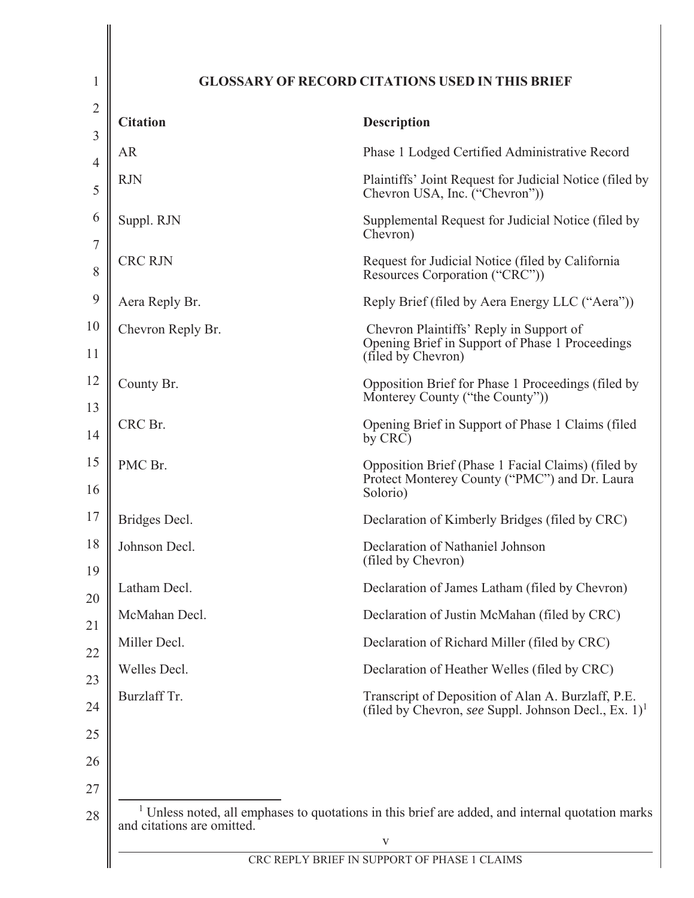| <b>Citation</b>   | <b>Description</b>                                                                                                     |
|-------------------|------------------------------------------------------------------------------------------------------------------------|
| <b>AR</b>         | Phase 1 Lodged Certified Administrative Record                                                                         |
| <b>RJN</b>        | Plaintiffs' Joint Request for Judicial Notice (filed by<br>Chevron USA, Inc. ("Chevron"))                              |
| Suppl. RJN        | Supplemental Request for Judicial Notice (filed by<br>Chevron)                                                         |
| <b>CRC RJN</b>    | Request for Judicial Notice (filed by California<br>Resources Corporation ("CRC"))                                     |
| Aera Reply Br.    | Reply Brief (filed by Aera Energy LLC ("Aera"))                                                                        |
| Chevron Reply Br. | Chevron Plaintiffs' Reply in Support of<br>Opening Brief in Support of Phase 1 Proceedings<br>(filed by Chevron)       |
| County Br.        | Opposition Brief for Phase 1 Proceedings (filed by<br>Monterey County ("the County"))                                  |
| CRC Br.           | Opening Brief in Support of Phase 1 Claims (filed<br>by CRC)                                                           |
| PMC Br.           | Opposition Brief (Phase 1 Facial Claims) (filed by<br>Protect Monterey County ("PMC") and Dr. Laura<br>Solorio)        |
| Bridges Decl.     | Declaration of Kimberly Bridges (filed by CRC)                                                                         |
| Johnson Decl.     | Declaration of Nathaniel Johnson<br>(filed by Chevron)                                                                 |
| Latham Decl.      | Declaration of James Latham (filed by Chevron)                                                                         |
| McMahan Decl.     | Declaration of Justin McMahan (filed by CRC)                                                                           |
| Miller Decl.      | Declaration of Richard Miller (filed by CRC)                                                                           |
| Welles Decl.      | Declaration of Heather Welles (filed by CRC)                                                                           |
| Burzlaff Tr.      | Transcript of Deposition of Alan A. Burzlaff, P.E.<br>(filed by Chevron, see Suppl. Johnson Decl., Ex. 1) <sup>1</sup> |
|                   |                                                                                                                        |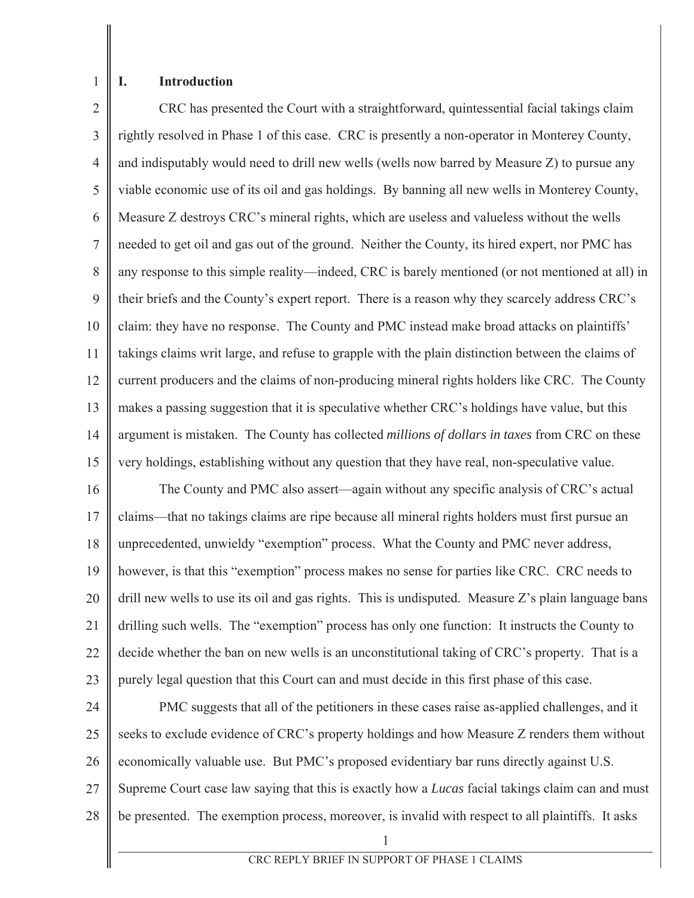$\mathbf{1}$ 

I.

## **Introduction**

 $\overline{2}$ CRC has presented the Court with a straightforward, quintessential facial takings claim 3 rightly resolved in Phase 1 of this case. CRC is presently a non-operator in Monterey County,  $\overline{4}$ and indisputably would need to drill new wells (wells now barred by Measure Z) to pursue any 5 viable economic use of its oil and gas holdings. By banning all new wells in Monterey County, 6 Measure Z destroys CRC's mineral rights, which are useless and valueless without the wells  $\overline{7}$ needed to get oil and gas out of the ground. Neither the County, its hired expert, nor PMC has 8 any response to this simple reality—indeed, CRC is barely mentioned (or not mentioned at all) in 9 their briefs and the County's expert report. There is a reason why they scarcely address CRC's 10 claim: they have no response. The County and PMC instead make broad attacks on plaintiffs' 11 takings claims writ large, and refuse to grapple with the plain distinction between the claims of 12 current producers and the claims of non-producing mineral rights holders like CRC. The County 13 makes a passing suggestion that it is speculative whether CRC's holdings have value, but this 14 argument is mistaken. The County has collected *millions of dollars in taxes* from CRC on these 15 very holdings, establishing without any question that they have real, non-speculative value.

16 The County and PMC also assert—again without any specific analysis of CRC's actual 17 claims—that no takings claims are ripe because all mineral rights holders must first pursue an 18 unprecedented, unwieldy "exemption" process. What the County and PMC never address, 19 however, is that this "exemption" process makes no sense for parties like CRC. CRC needs to 20 drill new wells to use its oil and gas rights. This is undisputed. Measure Z's plain language bans 21 drilling such wells. The "exemption" process has only one function: It instructs the County to 22 decide whether the ban on new wells is an unconstitutional taking of CRC's property. That is a 23 purely legal question that this Court can and must decide in this first phase of this case.

24 PMC suggests that all of the petitioners in these cases raise as-applied challenges, and it 25 seeks to exclude evidence of CRC's property holdings and how Measure Z renders them without 26 economically valuable use. But PMC's proposed evidentiary bar runs directly against U.S.  $27$ Supreme Court case law saying that this is exactly how a *Lucas* facial takings claim can and must 28 be presented. The exemption process, moreover, is invalid with respect to all plaintiffs. It asks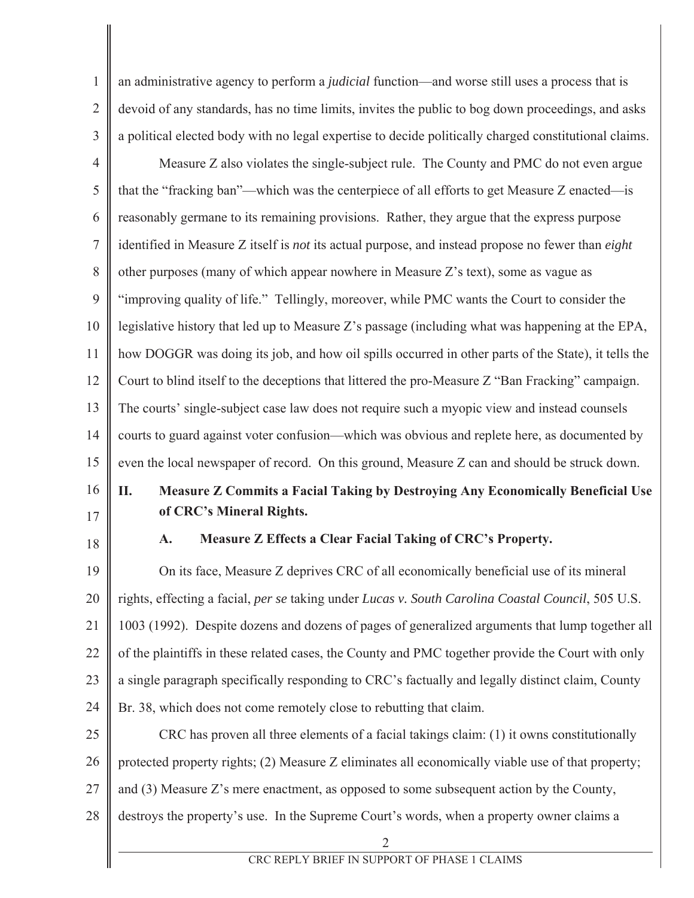| $\mathbf{1}$   | an administrative agency to perform a <i>judicial</i> function—and worse still uses a process that is           |
|----------------|-----------------------------------------------------------------------------------------------------------------|
| $\overline{2}$ | devoid of any standards, has no time limits, invites the public to bog down proceedings, and asks               |
| 3              | a political elected body with no legal expertise to decide politically charged constitutional claims.           |
| $\overline{4}$ | Measure Z also violates the single-subject rule. The County and PMC do not even argue                           |
| 5              | that the "fracking ban"—which was the centerpiece of all efforts to get Measure Z enacted—is                    |
| 6              | reasonably germane to its remaining provisions. Rather, they argue that the express purpose                     |
| $\tau$         | identified in Measure Z itself is <i>not</i> its actual purpose, and instead propose no fewer than <i>eight</i> |
| 8              | other purposes (many of which appear nowhere in Measure Z's text), some as vague as                             |
| 9              | "improving quality of life." Tellingly, moreover, while PMC wants the Court to consider the                     |
| 10             | legislative history that led up to Measure Z's passage (including what was happening at the EPA,                |
| 11             | how DOGGR was doing its job, and how oil spills occurred in other parts of the State), it tells the             |
| 12             | Court to blind itself to the deceptions that littered the pro-Measure Z "Ban Fracking" campaign.                |
| 13             | The courts' single-subject case law does not require such a myopic view and instead counsels                    |
| 14             | courts to guard against voter confusion—which was obvious and replete here, as documented by                    |
| 15             | even the local newspaper of record. On this ground, Measure Z can and should be struck down.                    |
|                |                                                                                                                 |
| 16             | Measure Z Commits a Facial Taking by Destroying Any Economically Beneficial Use<br>П.                           |
| 17             | of CRC's Mineral Rights.                                                                                        |
| 18             | Measure Z Effects a Clear Facial Taking of CRC's Property.<br>A.                                                |
| 19             | On its face, Measure Z deprives CRC of all economically beneficial use of its mineral                           |
| 20             | rights, effecting a facial, per se taking under Lucas v. South Carolina Coastal Council, 505 U.S.               |
| 21             | 1003 (1992). Despite dozens and dozens of pages of generalized arguments that lump together all                 |
| 22             | of the plaintiffs in these related cases, the County and PMC together provide the Court with only               |
| 23             | a single paragraph specifically responding to CRC's factually and legally distinct claim, County                |
| 24             | Br. 38, which does not come remotely close to rebutting that claim.                                             |
| 25             | CRC has proven all three elements of a facial takings claim: (1) it owns constitutionally                       |
| 26             | protected property rights; (2) Measure Z eliminates all economically viable use of that property;               |
| 27             | and (3) Measure Z's mere enactment, as opposed to some subsequent action by the County,                         |
| 28             | destroys the property's use. In the Supreme Court's words, when a property owner claims a                       |
|                | 2<br>CRC REPLY BRIEF IN SUPPORT OF PHASE 1 CLAIMS                                                               |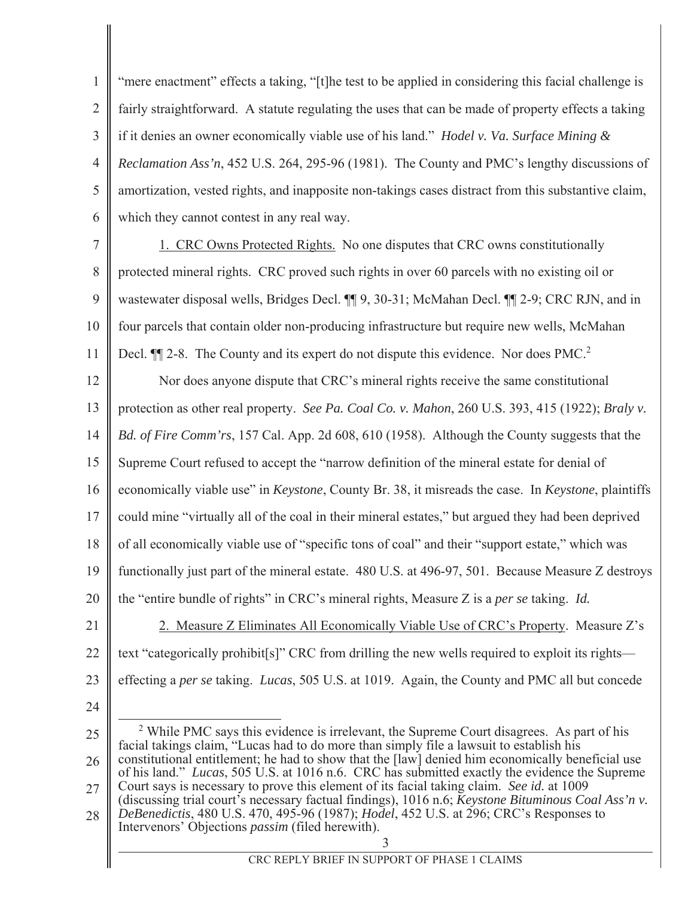$\mathbf{1}$ "mere enactment" effects a taking, "[t] he test to be applied in considering this facial challenge is  $\overline{2}$ fairly straightforward. A statute regulating the uses that can be made of property effects a taking  $\overline{3}$ if it denies an owner economically viable use of his land." *Hodel v. Va. Surface Mining &*  $\overline{4}$ *Reclamation Ass'n*, 452 U.S. 264, 295-96 (1981). The County and PMC's lengthy discussions of 5 amortization, vested rights, and inapposite non-takings cases distract from this substantive claim, 6 which they cannot contest in any real way.

 $\overline{7}$ 1. CRC Owns Protected Rights. No one disputes that CRC owns constitutionally 8 protected mineral rights. CRC proved such rights in over 60 parcels with no existing oil or 9 wastewater disposal wells, Bridges Decl. 11 9, 30-31; McMahan Decl. 11 2-9; CRC RJN, and in  $10<sup>1</sup>$ four parcels that contain older non-producing infrastructure but require new wells, McMahan 11 Decl.  $\P$ [2-8. The County and its expert do not dispute this evidence. Nor does PMC.<sup>2</sup>

12 Nor does anyone dispute that CRC's mineral rights receive the same constitutional 13 protection as other real property. See Pa. Coal Co. v. Mahon, 260 U.S. 393, 415 (1922); Braly v. 14 Bd. of Fire Comm'rs, 157 Cal. App. 2d 608, 610 (1958). Although the County suggests that the 15 Supreme Court refused to accept the "narrow definition of the mineral estate for denial of 16 economically viable use" in *Keystone*, County Br. 38, it misreads the case. In *Keystone*, plaintiffs 17 could mine "virtually all of the coal in their mineral estates," but argued they had been deprived 18 of all economically viable use of "specific tons of coal" and their "support estate," which was 19 functionally just part of the mineral estate. 480 U.S. at 496-97, 501. Because Measure Z destroys 20 the "entire bundle of rights" in CRC's mineral rights, Measure Z is a per se taking. Id. 21 2. Measure Z Eliminates All Economically Viable Use of CRC's Property. Measure Z's 22 text "categorically prohibit[s]" CRC from drilling the new wells required to exploit its rights—

23 effecting a per se taking. Lucas, 505 U.S. at 1019. Again, the County and PMC all but concede

24

 $2$  While PMC says this evidence is irrelevant, the Supreme Court disagrees. As part of his 25 facial takings claim, "Lucas had to do more than simply file a lawsuit to establish his constitutional entitlement; he had to show that the [law] denied him economically beneficial use 26 of his land." Lucas, 505 U.S. at 1016 n.6. CRC has submitted exactly the evidence the Supreme Court says is necessary to prove this element of its facial taking claim. See id. at 1009 27 (discussing trial court's necessary factual findings), 1016 n.6; Keystone Bituminous Coal Ass'n v. DeBenedictis, 480 U.S. 470, 495-96 (1987); *Hodel*, 452 U.S. at 296; CRC's Responses to 28 Intervenors' Objections *passim* (filed herewith).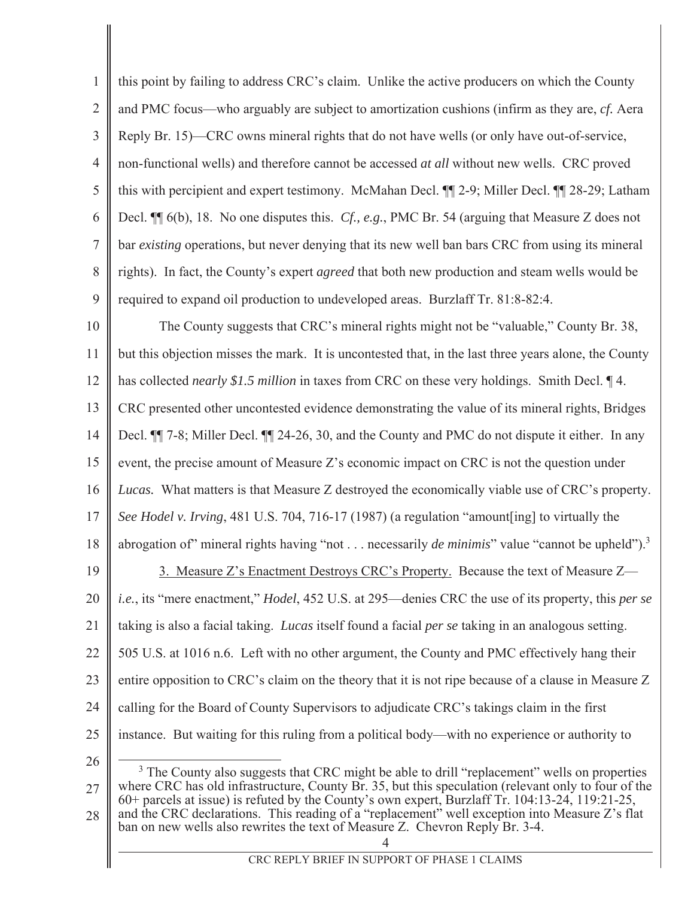$\mathbf{1}$ this point by failing to address CRC's claim. Unlike the active producers on which the County  $\overline{2}$ and PMC focus—who arguably are subject to amortization cushions (infirm as they are, *cf.* Aera  $\overline{3}$ Reply Br. 15)—CRC owns mineral rights that do not have wells (or only have out-of-service,  $\overline{4}$ non-functional wells) and therefore cannot be accessed *at all* without new wells. CRC proved 5 this with percipient and expert testimony. McMahan Decl.  $\P$  2-9; Miller Decl.  $\P$  28-29; Latham 6 Decl.  $\P$  6(b), 18. No one disputes this. Cf., e.g., PMC Br. 54 (arguing that Measure Z does not  $\overline{7}$ bar *existing* operations, but never denying that its new well ban bars CRC from using its mineral 8 rights). In fact, the County's expert *agreed* that both new production and steam wells would be 9 required to expand oil production to undeveloped areas. Burzlaff Tr. 81:8-82:4.  $10<sup>1</sup>$ The County suggests that CRC's mineral rights might not be "valuable," County Br. 38, 11 but this objection misses the mark. It is uncontested that, in the last three years alone, the County 12 has collected *nearly* \$1.5 million in taxes from CRC on these very holdings. Smith Decl. 14. 13 CRC presented other uncontested evidence demonstrating the value of its mineral rights, Bridges 14 Decl. ¶ 7-8; Miller Decl. ¶ 24-26, 30, and the County and PMC do not dispute it either. In any 15 event, the precise amount of Measure Z's economic impact on CRC is not the question under 16 Lucas. What matters is that Measure Z destroyed the economically viable use of CRC's property. 17 See Hodel v. Irving, 481 U.S. 704, 716-17 (1987) (a regulation "amount [ing] to virtually the 18 abrogation of "mineral rights having "not . . . necessarily *de minimis*" value "cannot be upheld").<sup>3</sup> 19 3. Measure Z's Enactment Destroys CRC's Property. Because the text of Measure Z— 20 *i.e.*, its "mere enactment," *Hodel*, 452 U.S. at 295—denies CRC the use of its property, this *per se* 21 taking is also a facial taking. *Lucas* itself found a facial *per se* taking in an analogous setting. 22 505 U.S. at 1016 n.6. Left with no other argument, the County and PMC effectively hang their 23 entire opposition to CRC's claim on the theory that it is not ripe because of a clause in Measure Z 24 calling for the Board of County Supervisors to adjudicate CRC's takings claim in the first 25 instance. But waiting for this ruling from a political body—with no experience or authority to 26  $3$  The County also suggests that CRC might be able to drill "replacement" wells on properties where CRC has old infrastructure, County Br. 35, but this speculation (relevant only to four of the  $27$ 

60+ parcels at issue) is refuted by the County's own expert, Burzlaff Tr. 104:13-24, 119:21-25, and the CRC declarations. This reading of a "replacement" well exception into Measure Z's flat 28 ban on new wells also rewrites the text of Measure Z. Chevron Reply Br. 3-4.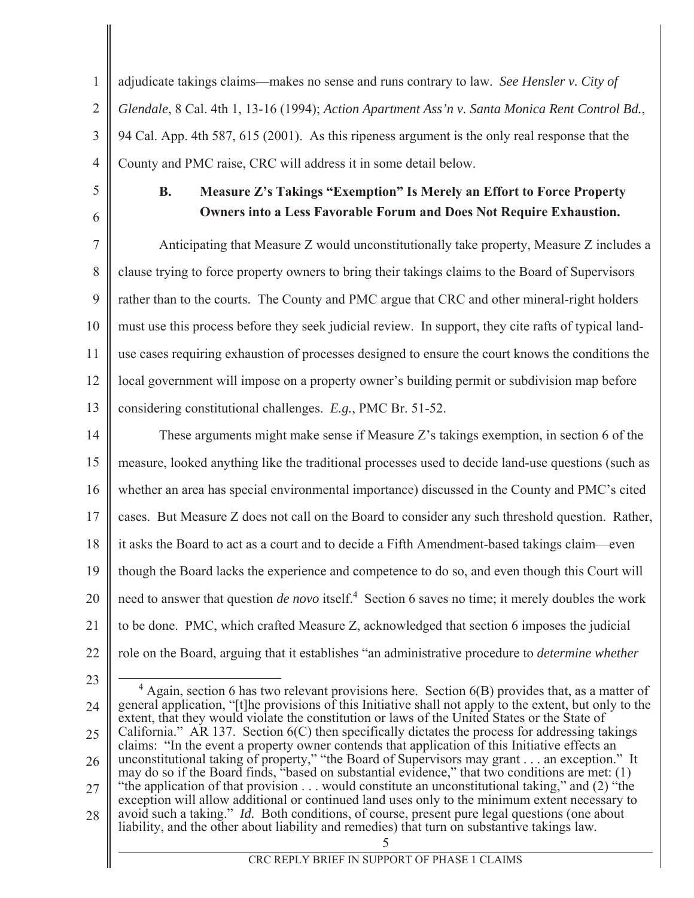$\mathbf{1}$ adjudicate takings claims—makes no sense and runs contrary to law. See Hensler v. City of  $\overline{2}$ Glendale, 8 Cal. 4th 1, 13-16 (1994); Action Apartment Ass'n v. Santa Monica Rent Control Bd., 3 94 Cal. App. 4th 587, 615 (2001). As this ripeness argument is the only real response that the  $\overline{4}$ County and PMC raise, CRC will address it in some detail below.

5

6

## **B.** Measure Z's Takings "Exemption" Is Merely an Effort to Force Property **Owners into a Less Favorable Forum and Does Not Require Exhaustion.**

 $\overline{7}$ Anticipating that Measure Z would unconstitutionally take property, Measure Z includes a 8 clause trying to force property owners to bring their takings claims to the Board of Supervisors 9 rather than to the courts. The County and PMC argue that CRC and other mineral-right holders  $10<sup>1</sup>$ must use this process before they seek judicial review. In support, they cite rafts of typical land-11 use cases requiring exhaustion of processes designed to ensure the court knows the conditions the 12 local government will impose on a property owner's building permit or subdivision map before 13 considering constitutional challenges. E.g., PMC Br. 51-52.

14 These arguments might make sense if Measure Z's takings exemption, in section 6 of the 15 measure, looked anything like the traditional processes used to decide land-use questions (such as 16 whether an area has special environmental importance) discussed in the County and PMC's cited 17 cases. But Measure Z does not call on the Board to consider any such threshold question. Rather, 18 it asks the Board to act as a court and to decide a Fifth Amendment-based takings claim—even 19 though the Board lacks the experience and competence to do so, and even though this Court will need to answer that question *de novo* itself.<sup>4</sup> Section 6 saves no time; it merely doubles the work 20 21 to be done. PMC, which crafted Measure Z, acknowledged that section 6 imposes the judicial 22 role on the Board, arguing that it establishes "an administrative procedure to *determine whether* 

23

<sup>&</sup>lt;sup>4</sup> Again, section 6 has two relevant provisions here. Section  $6(B)$  provides that, as a matter of general application, "[t]he provisions of this Initiative shall not apply to the extent, but only to the 24 extent, that they would violate the constitution or laws of the United States or the State of California." AR 137. Section  $6(C)$  then specifically dictates the process for addressing takings 25 claims: "In the event a property owner contends that application of this Initiative effects an unconstitutional taking of property," "the Board of Supervisors may grant . . . an exception." It 26 may do so if the Board finds, "based on substantial evidence," that two conditions are met: (1) "the application of that provision  $\dots$  would constitute an unconstitutional taking," and (2) "the 27 exception will allow additional or continued land uses only to the minimum extent necessary to avoid such a taking." Id. Both conditions, of course, present pure legal questions (one about 28 liability, and the other about liability and remedies) that turn on substantive takings law.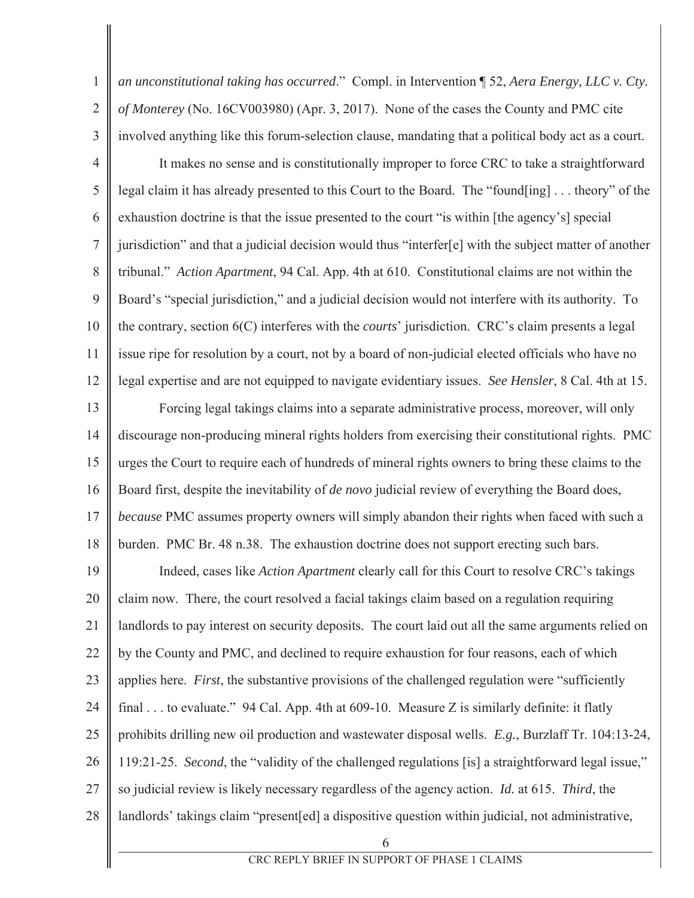$\mathbf{1}$ an unconstitutional taking has occurred." Compl. in Intervention  $\int$  52, Aera Energy, LLC v. Cty.  $\overline{2}$ of Monterey (No. 16CV003980) (Apr. 3, 2017). None of the cases the County and PMC cite 3 involved anything like this forum-selection clause, mandating that a political body act as a court.  $\overline{4}$ It makes no sense and is constitutionally improper to force CRC to take a straightforward 5 legal claim it has already presented to this Court to the Board. The "found[ing]...theory" of the 6 exhaustion doctrine is that the issue presented to the court "is within [the agency's] special  $\overline{7}$ jurisdiction" and that a judicial decision would thus "interfer[e] with the subject matter of another 8 tribunal." Action Apartment, 94 Cal. App. 4th at 610. Constitutional claims are not within the 9 Board's "special jurisdiction," and a judicial decision would not interfere with its authority. To  $10<sup>1</sup>$ the contrary, section 6(C) interferes with the *courts*' jurisdiction. CRC's claim presents a legal 11 issue ripe for resolution by a court, not by a board of non-judicial elected officials who have no 12 legal expertise and are not equipped to navigate evidentiary issues. See Hensler, 8 Cal. 4th at 15. 13 Forcing legal takings claims into a separate administrative process, moreover, will only 14 discourage non-producing mineral rights holders from exercising their constitutional rights. PMC 15 urges the Court to require each of hundreds of mineral rights owners to bring these claims to the 16 Board first, despite the inevitability of *de novo* judicial review of everything the Board does, 17 because PMC assumes property owners will simply abandon their rights when faced with such a 18 burden. PMC Br. 48 n.38. The exhaustion doctrine does not support erecting such bars. 19 Indeed, cases like *Action Apartment* clearly call for this Court to resolve CRC's takings 20 claim now. There, the court resolved a facial takings claim based on a regulation requiring 21 landlords to pay interest on security deposits. The court laid out all the same arguments relied on 22 by the County and PMC, and declined to require exhaustion for four reasons, each of which 23 applies here. *First*, the substantive provisions of the challenged regulation were "sufficiently" 24 final ... to evaluate." 94 Cal. App. 4th at  $609-10$ . Measure Z is similarly definite: it flatly 25 prohibits drilling new oil production and wastewater disposal wells. E.g., Burzlaff Tr. 104:13-24, 26 119:21-25. Second, the "validity of the challenged regulations [is] a straightforward legal issue," 27 so judicial review is likely necessary regardless of the agency action. *Id.* at 615. *Third*, the 28 landlords' takings claim "present[ed] a dispositive question within judicial, not administrative,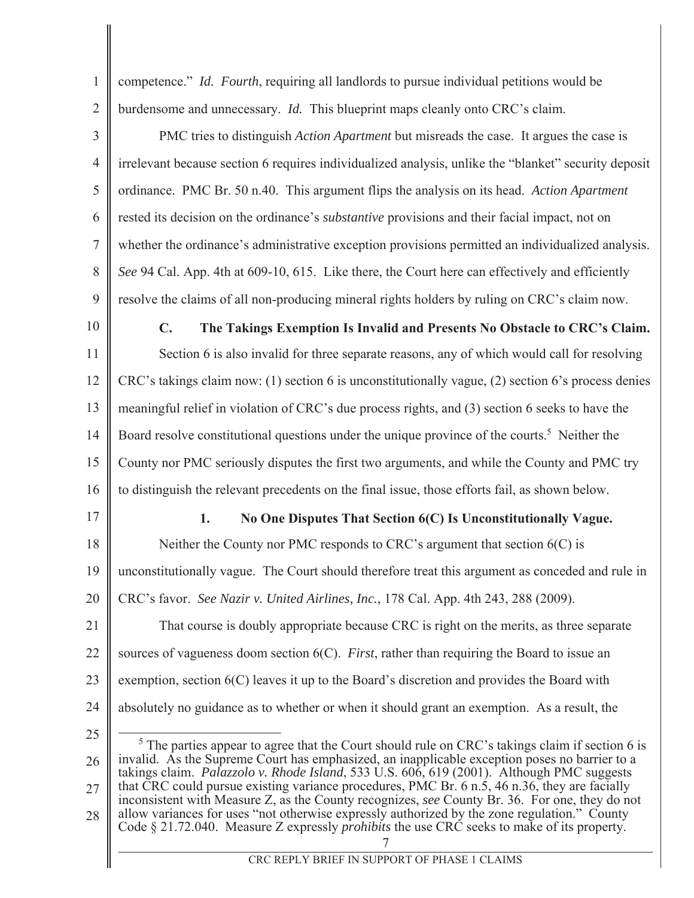$\mathbf{1}$ competence." *Id. Fourth*, requiring all landlords to pursue individual petitions would be  $\overline{2}$ burdensome and unnecessary. *Id*. This blueprint maps cleanly onto CRC's claim. 3 PMC tries to distinguish *Action Apartment* but misreads the case. It argues the case is  $\overline{4}$ irrelevant because section 6 requires individualized analysis, unlike the "blanket" security deposit 5 ordinance. PMC Br. 50 n.40. This argument flips the analysis on its head. Action Apartment 6 rested its decision on the ordinance's *substantive* provisions and their facial impact, not on  $\overline{7}$ whether the ordinance's administrative exception provisions permitted an individualized analysis. 8 See 94 Cal. App. 4th at 609-10, 615. Like there, the Court here can effectively and efficiently 9 resolve the claims of all non-producing mineral rights holders by ruling on CRC's claim now. 10  $\mathbf{C}$ . The Takings Exemption Is Invalid and Presents No Obstacle to CRC's Claim. 11 Section 6 is also invalid for three separate reasons, any of which would call for resolving 12 CRC's takings claim now: (1) section 6 is unconstitutionally vague, (2) section 6's process denies 13 meaningful relief in violation of CRC's due process rights, and (3) section 6 seeks to have the Board resolve constitutional questions under the unique province of the courts.<sup>5</sup> Neither the 14 15 County nor PMC seriously disputes the first two arguments, and while the County and PMC try 16 to distinguish the relevant precedents on the final issue, those efforts fail, as shown below. 17 1. No One Disputes That Section 6(C) Is Unconstitutionally Vague. 18 Neither the County nor PMC responds to CRC's argument that section  $6(C)$  is 19 unconstitutionally vague. The Court should therefore treat this argument as conceded and rule in 20 CRC's favor. See Nazir v. United Airlines, Inc., 178 Cal. App. 4th 243, 288 (2009). 21 That course is doubly appropriate because CRC is right on the merits, as three separate 22 sources of vagueness doom section  $6(C)$ . *First*, rather than requiring the Board to issue an 23 exemption, section  $6(C)$  leaves it up to the Board's discretion and provides the Board with 24 absolutely no guidance as to whether or when it should grant an exemption. As a result, the 25  $5$  The parties appear to agree that the Court should rule on CRC's takings claim if section 6 is invalid. As the Supreme Court has emphasized, an inapplicable exception poses no barrier to a 26 takings claim. Palazzolo v. Rhode Island, 533 U.S. 606, 619 (2001). Although PMC suggests that CRC could pursue existing variance procedures, PMC Br. 6 n.5, 46 n.36, they are facially 27 inconsistent with Measure Z, as the County recognizes, see County Br. 36. For one, they do not allow variances for uses "not otherwise expressly authorized by the zone regulation." County 28 Code § 21.72.040. Measure Z expressly *prohibits* the use CRC seeks to make of its property.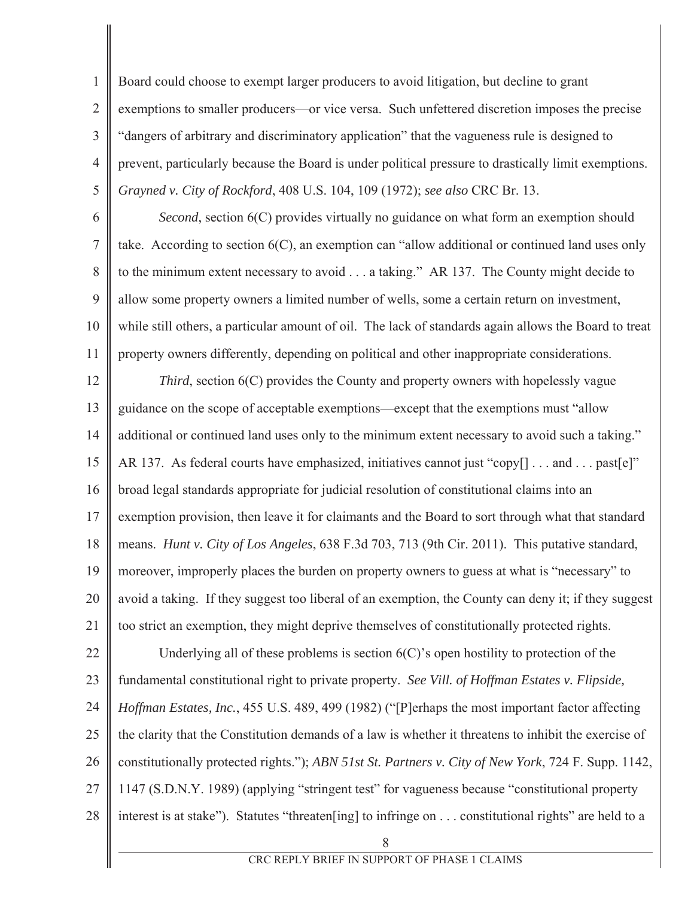Board could choose to exempt larger producers to avoid litigation, but decline to grant  $\overline{2}$ exemptions to smaller producers—or vice versa. Such unfettered discretion imposes the precise 3 "dangers of arbitrary and discriminatory application" that the vagueness rule is designed to  $\overline{4}$ prevent, particularly because the Board is under political pressure to drastically limit exemptions. 5 Grayned v. City of Rockford, 408 U.S. 104, 109 (1972); see also CRC Br. 13.

 $\mathbf{1}$ 

6 Second, section 6(C) provides virtually no guidance on what form an exemption should  $\overline{7}$ take. According to section  $6(C)$ , an exemption can "allow additional or continued land uses only 8 to the minimum extent necessary to avoid  $\dots$  a taking." AR 137. The County might decide to 9 allow some property owners a limited number of wells, some a certain return on investment, 10 while still others, a particular amount of oil. The lack of standards again allows the Board to treat 11 property owners differently, depending on political and other inappropriate considerations.

12 *Third*, section  $6(C)$  provides the County and property owners with hopelessly vague 13 guidance on the scope of acceptable exemptions—except that the exemptions must "allow 14 additional or continued land uses only to the minimum extent necessary to avoid such a taking." 15 AR 137. As federal courts have emphasized, initiatives cannot just "copy[] ... and ... past[e]" 16 broad legal standards appropriate for judicial resolution of constitutional claims into an 17 exemption provision, then leave it for claimants and the Board to sort through what that standard 18 means. Hunt v. City of Los Angeles, 638 F.3d 703, 713 (9th Cir. 2011). This putative standard, 19 moreover, improperly places the burden on property owners to guess at what is "necessary" to 20 avoid a taking. If they suggest too liberal of an exemption, the County can deny it; if they suggest 21 too strict an exemption, they might deprive themselves of constitutionally protected rights.

22 Underlying all of these problems is section  $6(C)$ 's open hostility to protection of the 23 fundamental constitutional right to private property. See Vill. of Hoffman Estates v. Flipside, 24 Hoffman Estates, Inc., 455 U.S. 489, 499 (1982) ("[P]erhaps the most important factor affecting 25 the clarity that the Constitution demands of a law is whether it threatens to inhibit the exercise of

26 constitutionally protected rights."); ABN 51st St. Partners v. City of New York, 724 F. Supp. 1142,

- 27 1147 (S.D.N.Y. 1989) (applying "stringent test" for vagueness because "constitutional property
- 28 interest is at stake"). Statutes "threaten[ing] to infringe on . . . constitutional rights" are held to a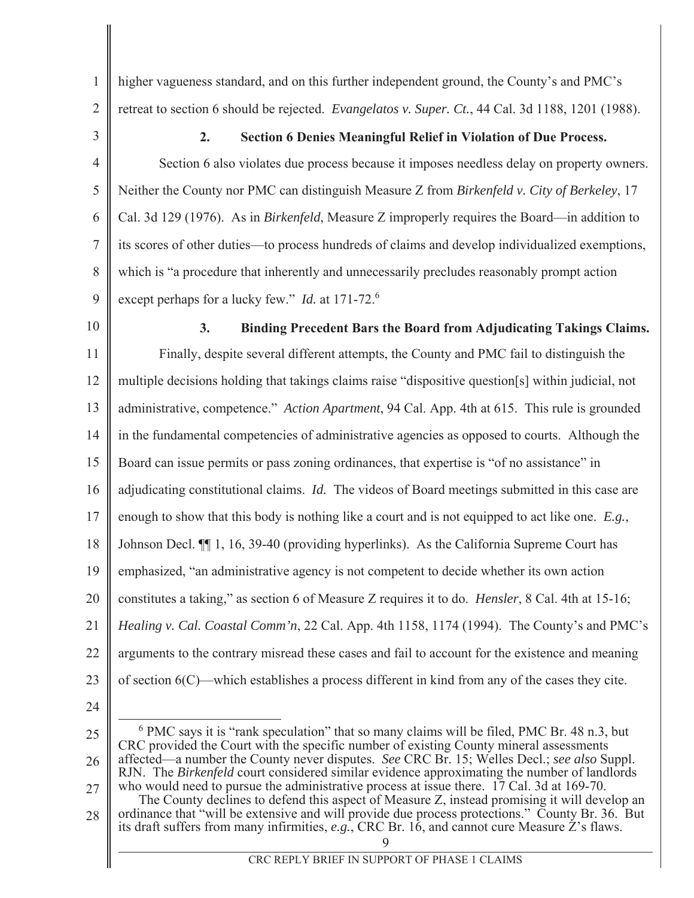higher vagueness standard, and on this further independent ground, the County's and PMC's retreat to section 6 should be rejected. Evangelatos v. Super. Ct., 44 Cal. 3d 1188, 1201 (1988).

3

 $\mathbf{1}$ 

 $\overline{2}$ 

#### $2.$ **Section 6 Denies Meaningful Relief in Violation of Due Process.**

 $\overline{4}$ Section 6 also violates due process because it imposes needless delay on property owners. 5 Neither the County nor PMC can distinguish Measure Z from Birkenfeld v. City of Berkeley, 17 6 Cal. 3d 129 (1976). As in *Birkenfeld*, Measure Z improperly requires the Board—in addition to  $\overline{7}$ its scores of other duties—to process hundreds of claims and develop individualized exemptions, 8 which is "a procedure that inherently and unnecessarily precludes reasonably prompt action 9 except perhaps for a lucky few." *Id.* at 171-72.<sup>6</sup>

 $10<sup>1</sup>$ 

#### Binding Precedent Bars the Board from Adjudicating Takings Claims. 3.

11 Finally, despite several different attempts, the County and PMC fail to distinguish the 12 multiple decisions holding that takings claims raise "dispositive question [s] within judicial, not 13 administrative, competence." Action Apartment, 94 Cal. App. 4th at 615. This rule is grounded 14 in the fundamental competencies of administrative agencies as opposed to courts. Although the 15 Board can issue permits or pass zoning ordinances, that expertise is "of no assistance" in 16 adjudicating constitutional claims. Id. The videos of Board meetings submitted in this case are 17 enough to show that this body is nothing like a court and is not equipped to act like one.  $E.g.,$ 18 Johnson Decl.  $\P$  1, 16, 39-40 (providing hyperlinks). As the California Supreme Court has 19 emphasized, "an administrative agency is not competent to decide whether its own action 20 constitutes a taking," as section 6 of Measure Z requires it to do. *Hensler*, 8 Cal. 4th at 15-16; 21 Healing v. Cal. Coastal Comm'n, 22 Cal. App. 4th 1158, 1174 (1994). The County's and PMC's 22 arguments to the contrary misread these cases and fail to account for the existence and meaning 23 of section  $6(C)$ —which establishes a process different in kind from any of the cases they cite.

24

27 The County declines to defend this aspect of Measure Z, instead promising it will develop an ordinance that "will be extensive and will provide due process protections." County Br. 36. But 28 its draft suffers from many infirmities,  $e.g.,$  CRC Br. 16, and cannot cure Measure Z's flaws.

 $6$  PMC says it is "rank speculation" that so many claims will be filed, PMC Br. 48 n.3, but 25 CRC provided the Court with the specific number of existing County mineral assessments affected—a number the County never disputes. See CRC Br. 15; Welles Decl.; see also Suppl. 26 RJN. The Birkenfeld court considered similar evidence approximating the number of landlords who would need to pursue the administrative process at issue there. 17 Cal. 3d at 169-70.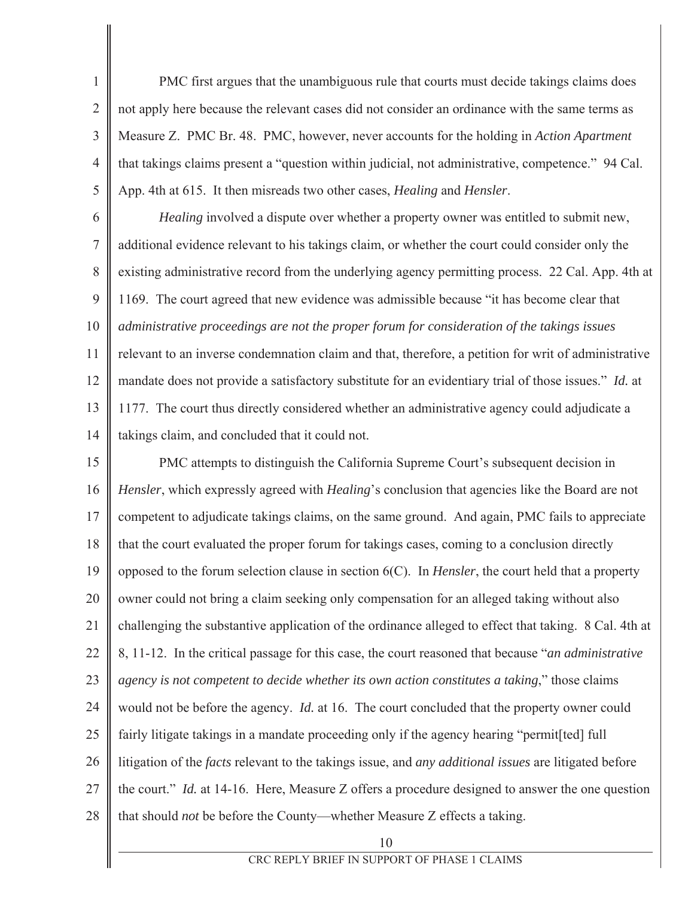PMC first argues that the unambiguous rule that courts must decide takings claims does  $\overline{2}$ not apply here because the relevant cases did not consider an ordinance with the same terms as  $\overline{3}$ Measure Z. PMC Br. 48. PMC, however, never accounts for the holding in Action Apartment  $\overline{4}$ that takings claims present a "question within judicial, not administrative, competence." 94 Cal. 5 App. 4th at 615. It then misreads two other cases, *Healing* and *Hensler*.

 $\mathbf{1}$ 

6 Healing involved a dispute over whether a property owner was entitled to submit new,  $\overline{7}$ additional evidence relevant to his takings claim, or whether the court could consider only the 8 existing administrative record from the underlying agency permitting process. 22 Cal. App. 4th at 9 1169. The court agreed that new evidence was admissible because "it has become clear that  $10<sup>1</sup>$ administrative proceedings are not the proper forum for consideration of the takings issues 11 relevant to an inverse condemnation claim and that, therefore, a petition for writ of administrative 12 mandate does not provide a satisfactory substitute for an evidentiary trial of those issues." Id. at 13 1177. The court thus directly considered whether an administrative agency could adjudicate a 14 takings claim, and concluded that it could not.

15 PMC attempts to distinguish the California Supreme Court's subsequent decision in 16 Hensler, which expressly agreed with Healing's conclusion that agencies like the Board are not 17 competent to adjudicate takings claims, on the same ground. And again, PMC fails to appreciate 18 that the court evaluated the proper forum for takings cases, coming to a conclusion directly 19 opposed to the forum selection clause in section  $6(C)$ . In *Hensler*, the court held that a property 20 owner could not bring a claim seeking only compensation for an alleged taking without also 21 challenging the substantive application of the ordinance alleged to effect that taking. 8 Cal. 4th at 22 8, 11-12. In the critical passage for this case, the court reasoned that because "*an administrative* 23 agency is not competent to decide whether its own action constitutes a taking," those claims 24 would not be before the agency. *Id.* at 16. The court concluded that the property owner could 25 fairly litigate takings in a mandate proceeding only if the agency hearing "permit [ted] full 26 litigation of the *facts* relevant to the takings issue, and *any additional issues* are litigated before 27 the court." *Id.* at 14-16. Here, Measure Z offers a procedure designed to answer the one question 28 that should not be before the County—whether Measure Z effects a taking.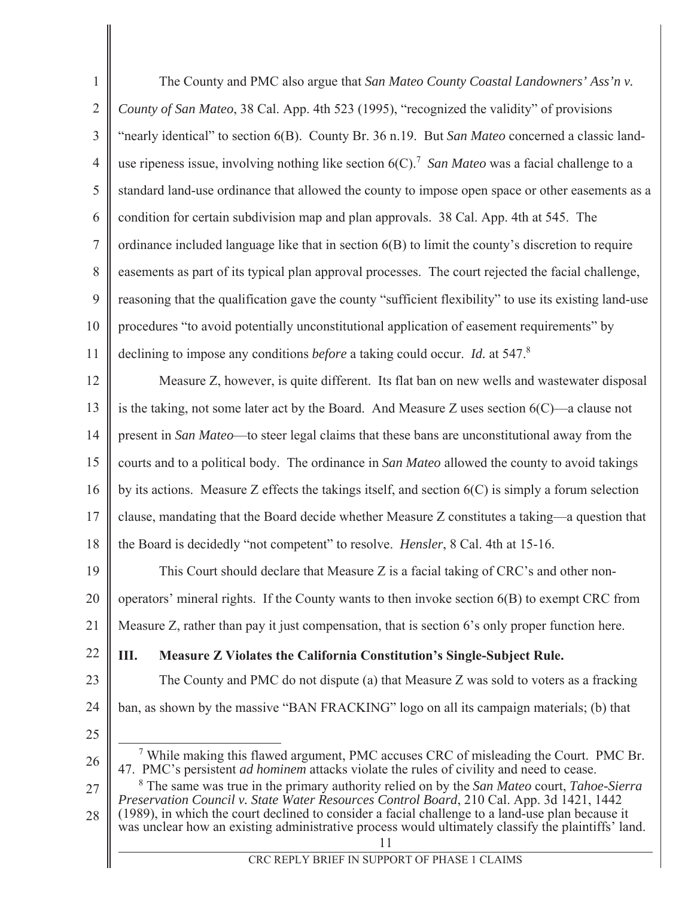| $\mathbf{1}$   | The County and PMC also argue that San Mateo County Coastal Landowners' Ass'n v.                                                                                                                             |
|----------------|--------------------------------------------------------------------------------------------------------------------------------------------------------------------------------------------------------------|
| $\overline{2}$ | County of San Mateo, 38 Cal. App. 4th 523 (1995), "recognized the validity" of provisions                                                                                                                    |
| 3              | "nearly identical" to section 6(B). County Br. 36 n.19. But San Mateo concerned a classic land-                                                                                                              |
| $\overline{4}$ | use ripeness issue, involving nothing like section $6(C)$ . <sup>7</sup> San Mateo was a facial challenge to a                                                                                               |
| 5              | standard land-use ordinance that allowed the county to impose open space or other easements as a                                                                                                             |
| 6              | condition for certain subdivision map and plan approvals. 38 Cal. App. 4th at 545. The                                                                                                                       |
| 7              | ordinance included language like that in section 6(B) to limit the county's discretion to require                                                                                                            |
| 8              | easements as part of its typical plan approval processes. The court rejected the facial challenge,                                                                                                           |
| 9              | reasoning that the qualification gave the county "sufficient flexibility" to use its existing land-use                                                                                                       |
| 10             | procedures "to avoid potentially unconstitutional application of easement requirements" by                                                                                                                   |
| 11             | declining to impose any conditions before a taking could occur. Id. at 547.8                                                                                                                                 |
| 12             | Measure Z, however, is quite different. Its flat ban on new wells and wastewater disposal                                                                                                                    |
| 13             | is the taking, not some later act by the Board. And Measure Z uses section $6(C)$ —a clause not                                                                                                              |
| 14             | present in San Mateo-to steer legal claims that these bans are unconstitutional away from the                                                                                                                |
| 15             | courts and to a political body. The ordinance in San Mateo allowed the county to avoid takings                                                                                                               |
| 16             | by its actions. Measure $Z$ effects the takings itself, and section $6(C)$ is simply a forum selection                                                                                                       |
| 17             | clause, mandating that the Board decide whether Measure Z constitutes a taking—a question that                                                                                                               |
| 18             | the Board is decidedly "not competent" to resolve. Hensler, 8 Cal. 4th at 15-16.                                                                                                                             |
| 19             | This Court should declare that Measure Z is a facial taking of CRC's and other non-                                                                                                                          |
| 20             | operators' mineral rights. If the County wants to then invoke section $6(B)$ to exempt CRC from                                                                                                              |
| 21             | Measure Z, rather than pay it just compensation, that is section 6's only proper function here.                                                                                                              |
| 22             | Measure Z Violates the California Constitution's Single-Subject Rule.<br>Ш.                                                                                                                                  |
| 23             | The County and PMC do not dispute (a) that Measure Z was sold to voters as a fracking                                                                                                                        |
| 24             | ban, as shown by the massive "BAN FRACKING" logo on all its campaign materials; (b) that                                                                                                                     |
| 25             |                                                                                                                                                                                                              |
| 26             | <sup>7</sup> While making this flawed argument, PMC accuses CRC of misleading the Court. PMC Br.<br>47. PMC's persistent <i>ad hominem</i> attacks violate the rules of civility and need to cease.          |
| 27             | <sup>8</sup> The same was true in the primary authority relied on by the San Mateo court, Tahoe-Sierra<br>Preservation Council v. State Water Resources Control Board, 210 Cal. App. 3d 1421, 1442           |
| 28             | (1989), in which the court declined to consider a facial challenge to a land-use plan because it<br>was unclear how an existing administrative process would ultimately classify the plaintiffs' land.<br>11 |
|                | CRC REPLY BRIEF IN SUPPORT OF PHASE 1 CLAIMS                                                                                                                                                                 |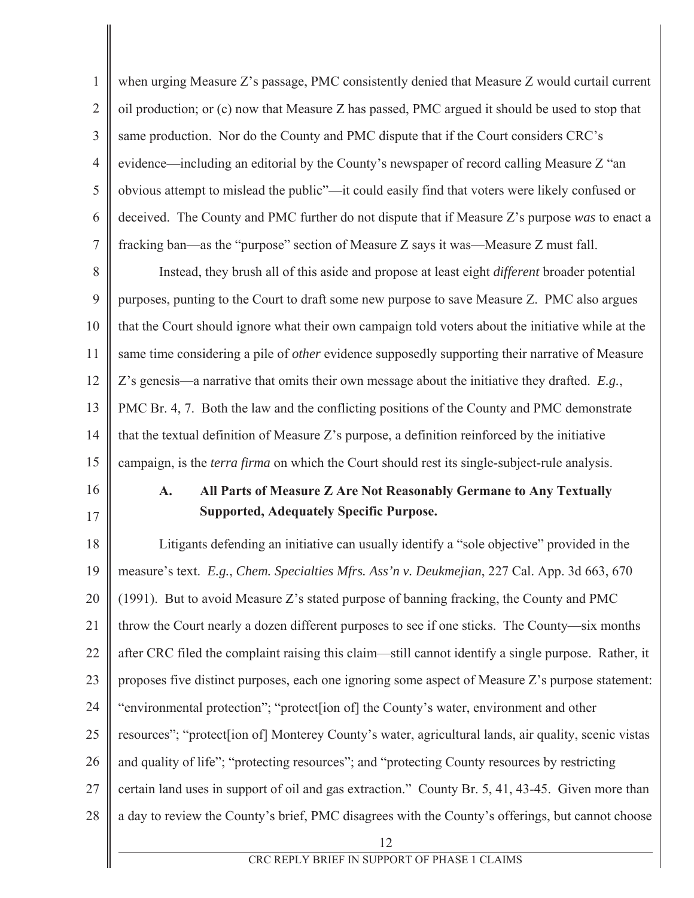$\mathbf{1}$ when urging Measure Z's passage, PMC consistently denied that Measure Z would curtail current  $\overline{2}$ oil production; or (c) now that Measure Z has passed, PMC argued it should be used to stop that 3 same production. Nor do the County and PMC dispute that if the Court considers CRC's  $\overline{4}$ evidence—including an editorial by the County's newspaper of record calling Measure Z "an 5 obvious attempt to mislead the public"—it could easily find that voters were likely confused or 6 deceived. The County and PMC further do not dispute that if Measure Z's purpose was to enact a  $\overline{7}$ fracking ban—as the "purpose" section of Measure Z says it was—Measure Z must fall.

8 Instead, they brush all of this aside and propose at least eight *different* broader potential 9 purposes, punting to the Court to draft some new purpose to save Measure Z. PMC also argues  $10<sup>1</sup>$ that the Court should ignore what their own campaign told voters about the initiative while at the 11 same time considering a pile of *other* evidence supposedly supporting their narrative of Measure 12 Z's genesis—a narrative that omits their own message about the initiative they drafted.  $E.g.,$ 13 PMC Br. 4, 7. Both the law and the conflicting positions of the County and PMC demonstrate 14 that the textual definition of Measure Z's purpose, a definition reinforced by the initiative 15 campaign, is the *terra firma* on which the Court should rest its single-subject-rule analysis.

16 17

### $\mathbf{A}$ . All Parts of Measure Z Are Not Reasonably Germane to Any Textually **Supported, Adequately Specific Purpose.**

18 Litigants defending an initiative can usually identify a "sole objective" provided in the 19 measure's text. E.g., Chem. Specialties Mfrs. Ass'n v. Deukmejian, 227 Cal. App. 3d 663, 670 20 (1991). But to avoid Measure Z's stated purpose of banning fracking, the County and PMC 21 throw the Court nearly a dozen different purposes to see if one sticks. The County—six months 22 after CRC filed the complaint raising this claim—still cannot identify a single purpose. Rather, it 23 proposes five distinct purposes, each one ignoring some aspect of Measure Z's purpose statement: 24 "environmental protection"; "protect [ion of] the County's water, environment and other 25 resources"; "protect [ion of] Monterey County's water, agricultural lands, air quality, scenic vistas 26 and quality of life"; "protecting resources"; and "protecting County resources by restricting 27 certain land uses in support of oil and gas extraction." County Br. 5, 41, 43-45. Given more than 28 a day to review the County's brief, PMC disagrees with the County's offerings, but cannot choose 12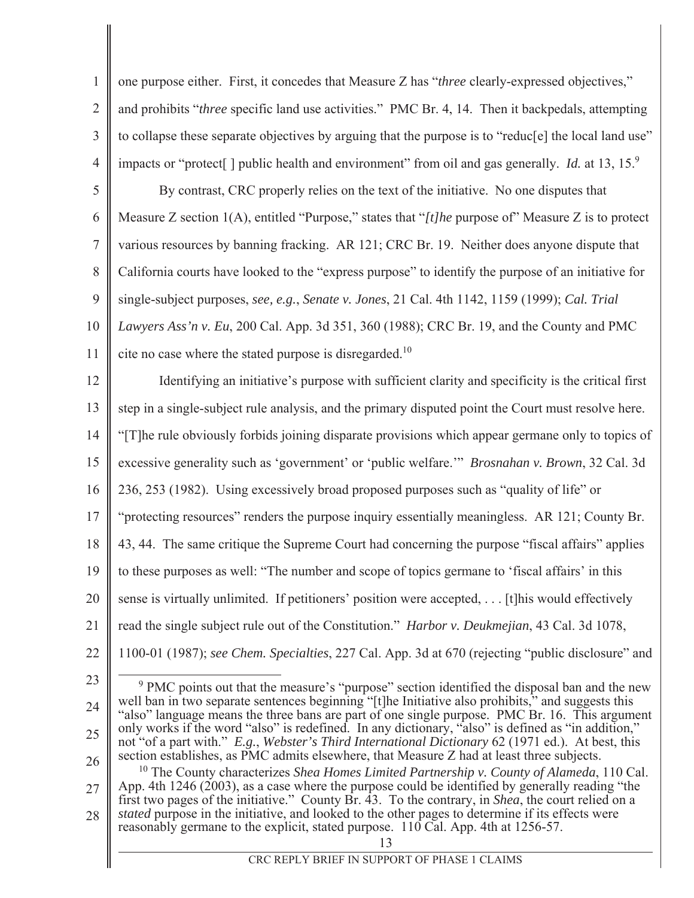| $\mathbf{1}$   | one purpose either. First, it concedes that Measure Z has "three clearly-expressed objectives,"                                                                                                         |
|----------------|---------------------------------------------------------------------------------------------------------------------------------------------------------------------------------------------------------|
| $\overline{2}$ | and prohibits "three specific land use activities." PMC Br. 4, 14. Then it backpedals, attempting                                                                                                       |
| 3              | to collapse these separate objectives by arguing that the purpose is to "reduc[e] the local land use"                                                                                                   |
| $\overline{4}$ | impacts or "protect[] public health and environment" from oil and gas generally. <i>Id.</i> at 13, 15. <sup>9</sup>                                                                                     |
| 5              | By contrast, CRC properly relies on the text of the initiative. No one disputes that                                                                                                                    |
| 6              | Measure Z section $1(A)$ , entitled "Purpose," states that "[t] he purpose of" Measure Z is to protect                                                                                                  |
| $\overline{7}$ | various resources by banning fracking. AR 121; CRC Br. 19. Neither does anyone dispute that                                                                                                             |
| 8              | California courts have looked to the "express purpose" to identify the purpose of an initiative for                                                                                                     |
| 9              | single-subject purposes, see, e.g., Senate v. Jones, 21 Cal. 4th 1142, 1159 (1999); Cal. Trial                                                                                                          |
| 10             | Lawyers Ass'n v. Eu, 200 Cal. App. 3d 351, 360 (1988); CRC Br. 19, and the County and PMC                                                                                                               |
| 11             | cite no case where the stated purpose is disregarded. <sup>10</sup>                                                                                                                                     |
| 12             | Identifying an initiative's purpose with sufficient clarity and specificity is the critical first                                                                                                       |
| 13             | step in a single-subject rule analysis, and the primary disputed point the Court must resolve here.                                                                                                     |
| 14             | "[T]he rule obviously forbids joining disparate provisions which appear germane only to topics of                                                                                                       |
| 15             | excessive generality such as 'government' or 'public welfare." Brosnahan v. Brown, 32 Cal. 3d                                                                                                           |
| 16             | 236, 253 (1982). Using excessively broad proposed purposes such as "quality of life" or                                                                                                                 |
| 17             | "protecting resources" renders the purpose inquiry essentially meaningless. AR 121; County Br.                                                                                                          |
| 18             | 43, 44. The same critique the Supreme Court had concerning the purpose "fiscal affairs" applies                                                                                                         |
| 19             | to these purposes as well: "The number and scope of topics germane to 'fiscal affairs' in this                                                                                                          |
| 20             | sense is virtually unlimited. If petitioners' position were accepted,  [t] his would effectively                                                                                                        |
| 21             | read the single subject rule out of the Constitution." <i>Harbor v. Deukmejian</i> , 43 Cal. 3d 1078,                                                                                                   |
| 22             | 1100-01 (1987); see Chem. Specialties, 227 Cal. App. 3d at 670 (rejecting "public disclosure" and                                                                                                       |
| 23             | <sup>9</sup> PMC points out that the measure's "purpose" section identified the disposal ban and the new                                                                                                |
| 24             | well ban in two separate sentences beginning "[t]he Initiative also prohibits," and suggests this<br>"also" language means the three bans are part of one single purpose. PMC Br. 16. This argument     |
| 25             | only works if the word "also" is redefined. In any dictionary, "also" is defined as "in addition,"<br>not "of a part with." E.g., Webster's Third International Dictionary 62 (1971 ed.). At best, this |
| 26             | section establishes, as PMC admits elsewhere, that Measure Z had at least three subjects.<br>$10$ The County characterizes Shea Homes Limited Partnership v. County of Alameda, 110 Cal.                |
| 27             | App. 4th 1246 (2003), as a case where the purpose could be identified by generally reading "the<br>first two pages of the initiative." County Br. 43. To the contrary, in Shea, the court relied on a   |
| 28             | stated purpose in the initiative, and looked to the other pages to determine if its effects were<br>reasonably germane to the explicit, stated purpose. 110 Cal. App. 4th at 1256-57.                   |
|                | 13<br>CRC REPLY BRIEF IN SUPPORT OF PHASE 1 CLAIMS                                                                                                                                                      |
|                |                                                                                                                                                                                                         |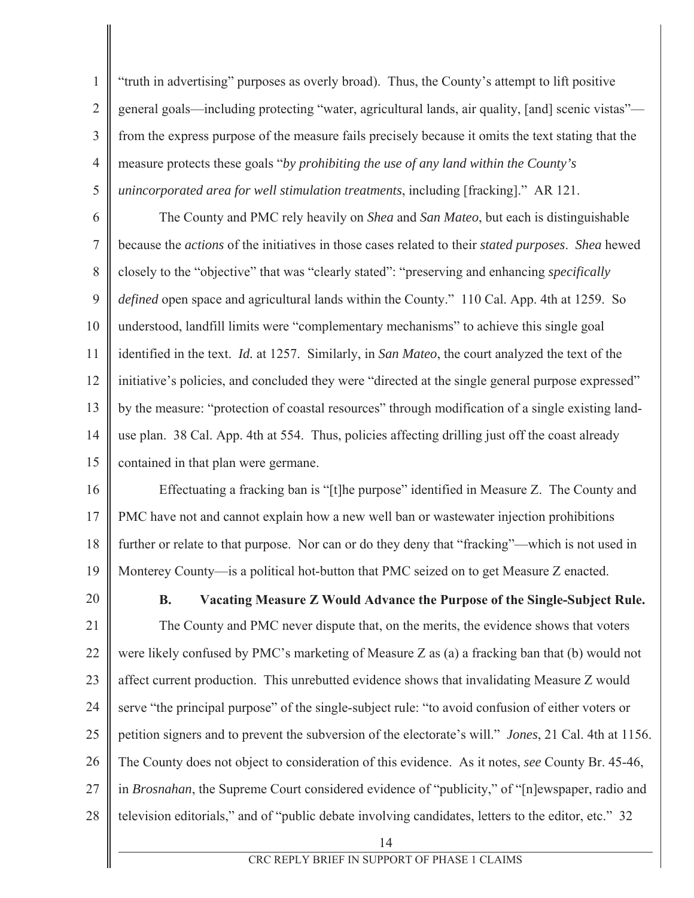$\mathbf{1}$  $\overline{2}$  $\overline{3}$  $\overline{4}$ 5 "truth in advertising" purposes as overly broad). Thus, the County's attempt to lift positive general goals—including protecting "water, agricultural lands, air quality, [and] scenic vistas" from the express purpose of the measure fails precisely because it omits the text stating that the measure protects these goals "by *prohibiting the use of any land within the County's unincorporated area for well stimulation treatments, including [fracking].*" AR 121.

6  $\overline{7}$ 8 9  $10<sup>1</sup>$ 11 12 13 14 15 The County and PMC rely heavily on *Shea* and *San Mateo*, but each is distinguishable because the *actions* of the initiatives in those cases related to their *stated purposes*. Shea hewed Forthermorphisp to the "objective" that was "clearly stated": "preserving and enhancing *specifically defined* open space and agricultural lands within the County." 110 Cal. App. 4th at 1259. So understood, landfill limits were "complementary mechanisms" to achieve this single goal identified in the text. *Id.* at 1257. Similarly, in San Mateo, the court analyzed the text of the initiative's policies, and concluded they were "directed at the single general purpose expressed" by the measure: "protection of coastal resources" through modification of a single existing landuse plan. 38 Cal. App. 4th at 554. Thus, policies affecting drilling just off the coast already contained in that plan were germane.

16 17 18 19 Effectuating a fracking ban is "[t]he purpose" identified in Measure Z. The County and PMC have not and cannot explain how a new well ban or wastewater injection prohibitions further or relate to that purpose. Nor can or do they deny that "fracking"—which is not used in Monterey County—is a political hot-button that PMC seized on to get Measure Z enacted.

20

**B.** Vacating Measure Z Would Advance the Purpose of the Single-Subject Rule.

21 22 23 24 25 26 27 28 The County and PMC never dispute that, on the merits, the evidence shows that voters were likely confused by PMC's marketing of Measure Z as (a) a fracking ban that (b) would not affect current production. This unrebutted evidence shows that invalidating Measure Z would serve "the principal purpose" of the single-subject rule: "to avoid confusion of either voters or petition signers and to prevent the subversion of the electorate's will." *Jones*, 21 Cal. 4th at 1156. The County does not object to consideration of this evidence. As it notes, see County Br. 45-46, in Brosnahan, the Supreme Court considered evidence of "publicity," of "[n]ewspaper, radio and television editorials," and of "public debate involving candidates, letters to the editor, etc." 32